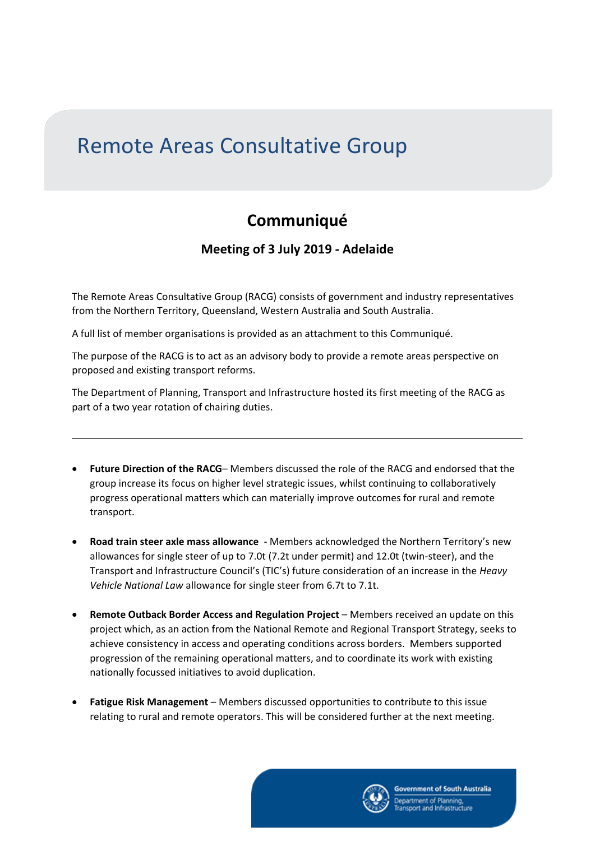## Remote Areas Consultative Group

## **Communiqué**

**Meeting of 3 July 2019 - Adelaide**

The Remote Areas Consultative Group (RACG) consists of government and industry representatives from the Northern Territory, Queensland, Western Australia and South Australia.

A full list of member organisations is provided as an attachment to this Communiqué.

The purpose of the RACG is to act as an advisory body to provide a remote areas perspective on proposed and existing transport reforms.

The Department of Planning, Transport and Infrastructure hosted its first meeting of the RACG as part of a two year rotation of chairing duties.

- **Future Direction of the RACG** Members discussed the role of the RACG and endorsed that the group increase its focus on higher level strategic issues, whilst continuing to collaboratively progress operational matters which can materially improve outcomes for rural and remote transport.
- **Road train steer axle mass allowance** Members acknowledged the Northern Territory's new allowances for single steer of up to 7.0t (7.2t under permit) and 12.0t (twin-steer), and the Transport and Infrastructure Council's (TIC's) future consideration of an increase in the *Heavy Vehicle National Law* allowance for single steer from 6.7t to 7.1t.
- **Remote Outback Border Access and Regulation Project** Members received an update on this project which, as an action from the National Remote and Regional Transport Strategy, seeks to achieve consistency in access and operating conditions across borders. Members supported progression of the remaining operational matters, and to coordinate its work with existing nationally focussed initiatives to avoid duplication.
- **Fatigue Risk Management** Members discussed opportunities to contribute to this issue relating to rural and remote operators. This will be considered further at the next meeting.

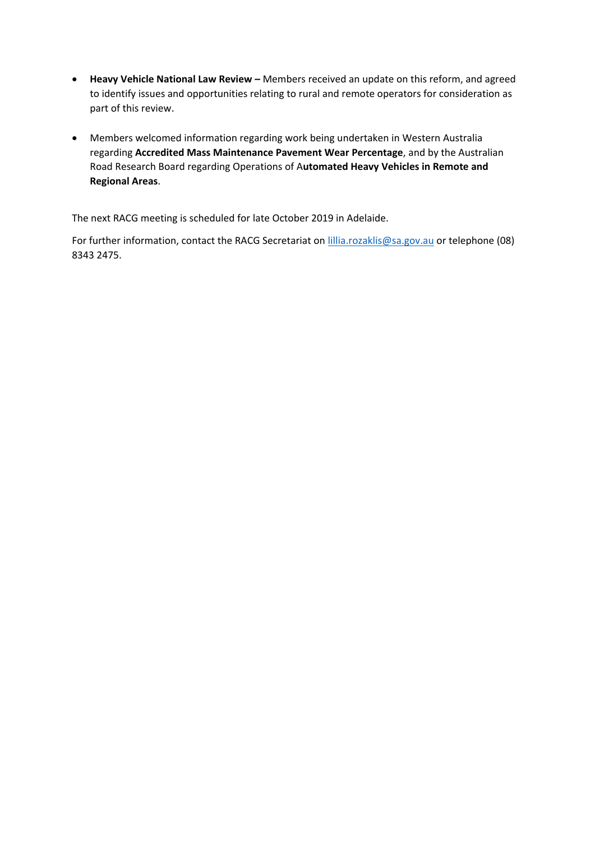- **Heavy Vehicle National Law Review -** Members received an update on this reform, and agreed to identify issues and opportunities relating to rural and remote operators for consideration as part of this review.
- Members welcomed information regarding work being undertaken in Western Australia regarding **Accredited Mass Maintenance Pavement Wear Percentage**, and by the Australian Road Research Board regarding Operations of A**utomated Heavy Vehicles in Remote and Regional Areas**.

The next RACG meeting is scheduled for late October 2019 in Adelaide.

For further information, contact the RACG Secretariat on *lillia.rozaklis@sa.gov.au* or telephone (08) 8343 2475.